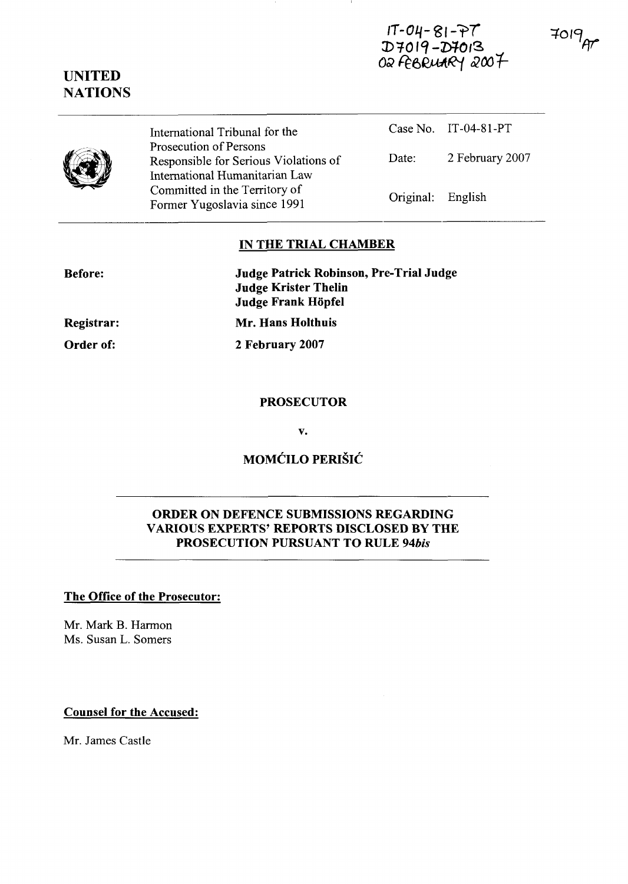$1T - 04 - 81 - 77$ D7019-D7013 OR FEBRUARY 2007  $7019$ 



**Before:** 



## **IN THE TRIAL CHAMBER**

| Registrar: |  |
|------------|--|
| Order of:  |  |

**Judge Patrick Robinson, Pre-Trial Judge Judge Krister Thelin Judge Frank Hopfel** 

**Mr. Hans Holthuis** 

**2 February 2007** 

Prosecution of Persons

#### **PROSECUTOR**

 $\mathbf{v}$ .

# MOMĆILO PERIŠIĆ

# **ORDER ON DEFENCE SUBMISSIONS REGARDING VARIOUS EXPERTS' REPORTS DISCLOSED BY THE PROSECUTION PURSUANT TO RULE 94bis**

#### **The Office of the Prosecutor:**

Mr. Mark B. Harmon Ms. Susan L. Somers

# **Counsel for the Accused:**

Mr. James Castle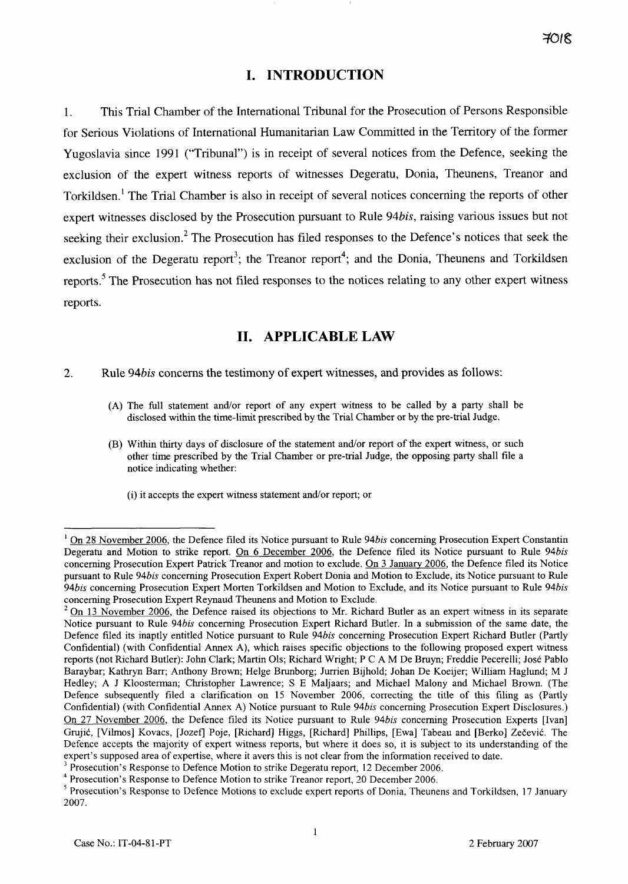# **1. INTRODUCTION**

*1.* This Trial Chamber of the International Tribunal for the Prosecution of Persons Responsible for Serious Violations of International Humanitarian Law Committed in the Territory of the former Yugoslavia since *1991* ("Tribunal") is in receipt of several notices from the Defence, seeking the exclusion of the expert witness reports of witnesses Degeratu, Donia, Theunens, Treanor and Torkildsen.<sup>1</sup> The Trial Chamber is also in receipt of several notices concerning the reports of other expert witnesses disclosed by the Prosecution pursuant to Rule *94bis,* raising various issues but not seeking their exclusion.<sup>2</sup> The Prosecution has filed responses to the Defence's notices that seek the exclusion of the Degeratu report<sup>3</sup>; the Treanor report<sup>4</sup>; and the Donia, Theunens and Torkildsen reports.<sup>5</sup> The Prosecution has not filed responses to the notices relating to any other expert witness reports.

# **II. APPLICABLE LAW**

- *2.* Rule **94bis** concerns the testimony of expert witnesses, and provides as follows:
	- (A) The full statement andor report of any expert witness to be called by a party shall be disclosed within the time-limit prescribed by the Trial Chamber or by the pre-trial Judge.
	- (B) Within thirty days of disclosure of the statement and/or report of the expert witness, or such other time prescribed by the Trial Chamber or pre-trial Judge, the opposing party shall file a notice indicating whether:
		- (i) it accepts the expert witness statement andlor report; or

<sup>&</sup>lt;sup>1</sup> On 28 November 2006, the Defence filed its Notice pursuant to Rule 94*bis* concerning Prosecution Expert Constantin Degeratu and Motion to strike report. On 6 December 2006, the Defence filed its Notice pursuant to Rule 94bis conceming Prosecution Expert Patrick Treanor and motion to exclude. On 3 Januarv 2006, the Defence filed its Notice pursuant to Rule 94bis conceming Prosecution Expert Robert Donia and Motion to Exclude, its Notice pursuant to Rule 94bis concerning Prosecution Expert Morten Torkildsen and Motion to Exclude, and its Notice pursuant to Rule 94bis conceming Prosecution Expert Reynaud Theunens and Motion to Exclude.

On 13 Novernber 2006, the Defence raised its objections to Mr. Richard Butler as an expert witness in its separate Notice pursuant to Rule 94bis concerning Prosecution Expert Richard Butler. In a submission of the same date, the Defence filed its inaptly entitled Notice pursuant to Rule 94bis concerning Prosecution Expert Richard Butler (Partly Confidential) (with Confidential Annex A), which raises specific objections to the following proposed expert witness reports (not Richard Butler): John Clark; Martin 01s; Richard Wright; P C A M De Bruyn; Freddie Pecereili; José Pablo Baraybar; Kathryn Barr; Anthony Brown; Helge Brunborg; Jurrien Bijhold; Johan De Koeijer; William Haglund; M J Hedley; A J Kloosterman; Christopher Lawrence; S E Maljaars; and Michael Malony and Michael Brown. (The Defence subsequently filed a clarification on 15 November 2006, correcting the title of this filing as (Partly Confidential) (with Confidential Annex A) Notice pursuant to Rule 94bis conceming Prosecution Expert Disclosures.) On 27 November 2006, the Defence filed its Notice pursuant to Rule 94bis concerning Prosecution Experts [Ivan] Grujić, [Vilmos] Kovacs, [Jozef] Poje, [Richard] Higgs, [Richard] Phillips, [Ewa] Tabeau and [Berko] Zečević. The Defence accepts the majority of expert witness reports, but where it does so, it is subject to its understanding of the expert's supposed area of expertise, where it avers this is not clear from the information received to date.<br><sup>3</sup> Prosecution's Response to Defence Motion to strike Degeratu report, 12 December 2006.

Prosecution's Response to Defence Motion to strike Treanor report, 20 December 2006.

<sup>5</sup> Prosecution's Response to Defence Motions to exclude expert reports of Donia, Theunens and Torkildsen, 17 January 2007.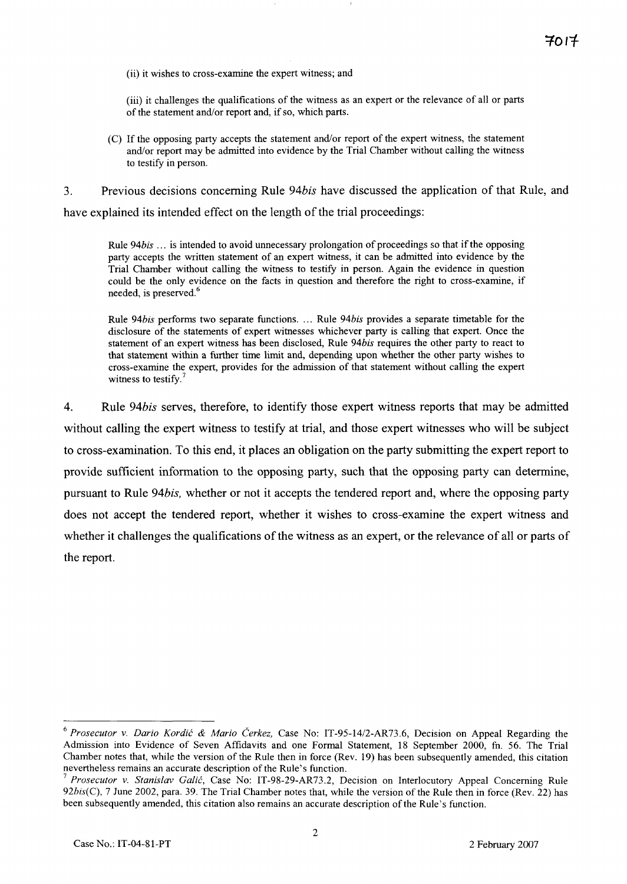(ii) it wishes to cross-examine the expert witness; and

(iii) it challenges the qualifications of the witness as an expert or the relevance of al1 or parts of the statement and/or report and, if so, which parts.

- (C) If the opposing party accepts the statement andor report of the expert witness, the statement and/or report may be admitted into evidence by the Trial Chamber without calling the witness to testify in person.
- 3. Previous decisions concerning Rule *94bis* have discussed the application of that Rule, and have explained its intended effect on the length of the trial proceedings:

Rule 94 $bis$  ... is intended to avoid unnecessary prolongation of proceedings so that if the opposing party accepts the written statement of an expert witness, it can be admitted into evidence by the Trial Chamber without calling the witness to testify in person. Again the evidence in question could be the only evidence on the facts in question and therefore the right to cross-examine, if needed, is preserved. $<sup>6</sup>$ </sup>

Rule 94bis performs two separate functions. ... Rule 94bis provides a separate timetable for the disclosure of the statements of expert witnesses whichever party is calling that expert. Once the statement of an expert witness has been disclosed, Rule 94bis requires the other party to react to that statement within a further time limit and, depending upon whether the other party wishes to cross-examine the expert, provides for the admission of that statement without calling the expert witness to testify.<sup>7</sup>

*4.* Rule *94bis* serves, therefore, to identify those expert witness reports that may be admitted without calling the expert witness to testify at trial, and those expert witnesses who will be subject to cross-examination. To this end, it places an obligation on the party submitting the expert report to provide sufficient information to the opposing party, such that the opposing party can determine, pursuant to Rule *94bis,* whether or not it accepts the tendered report and, where the opposing party does not accept the tendered report, whether it wishes to cross-examine the expert witness and whether it challenges the qualifications of the witness as an expert, or the relevance of al1 or parts of the report.

<sup>&</sup>lt;sup>6</sup> Prosecutor v. Dario Kordić & Mario Čerkez, Case No: IT-95-14/2-AR73.6, Decision on Appeal Regarding the Admission into Evidence of Seven Affidavits and one Formal Statement, 18 September 2000, fn. 56. The Trial Chamber notes that, while the version of the Rule then in force (Rev. 19) has been subsequently amended, this citation

Prosecutor v. Stanislav Galić, Case No: IT-98-29-AR73.2, Decision on Interlocutory Appeal Concerning Rule  $92bis(C)$ , 7 June 2002, para. 39. The Trial Chamber notes that, while the version of the Rule then in force (Rev. 22) has been subsequently amended, this citation also remains an accurate description of the Rule's function.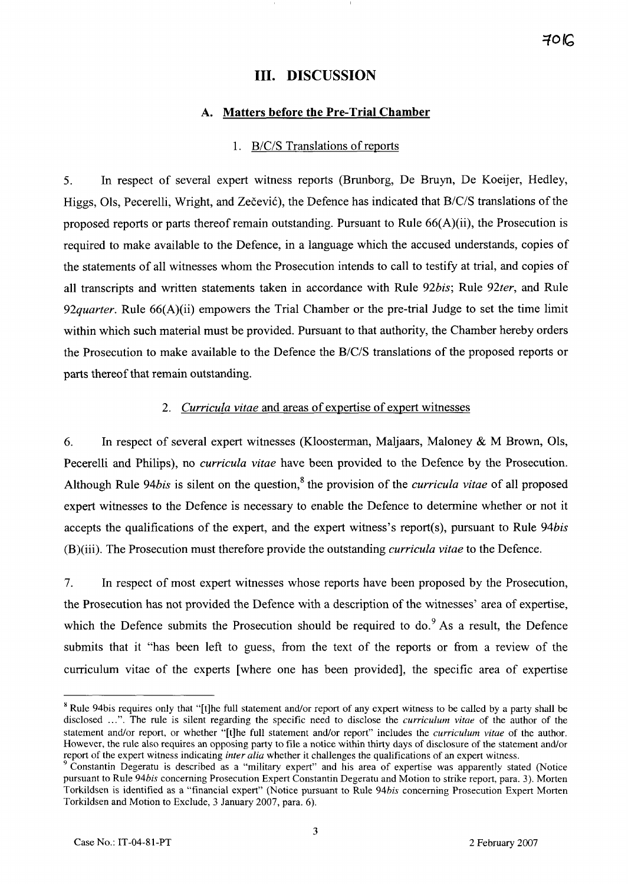# **III. DISCUSSION**

### **A. Matters before the Pre-Trial Chamber**

### 1. B/C/S Translations of reports

*5.* In respect of several expert witness reports (Brunborg, De Bruyn, De Koeijer, Hedley, Higgs, Ols, Pecerelli, Wright, and Zečević), the Defence has indicated that B/C/S translations of the proposed reports or parts thereof remain outstanding. Pursuant to Rule  $66(A)(ii)$ , the Prosecution is required to make available to the Defence, in a language which the accused understands, copies of the statements of al1 witnesses whom the Prosecution intends to cal1 to testify at trial, and copies of all transcripts and written statements taken in accordance with Rule 92bis; Rule 92ter, and Rule *92quarter.* Rule 66(A)(ii) empowers the Trial Chamber or the pre-trial Judge to set the time limit within which such material must be provided. Pursuant to that authority, the Chamber hereby orders the Prosecution to make available to the Defence the B/C/S translations of the proposed reports or parts thereof that remain outstanding.

### *2. Curricula vitae* and areas of expertise of expert witnesses

6. In respect of several expert witnesses (Kloosterman, Maljaars, Maloney & M Brown, Ols, Pecerelli and Philips), no *curricula vitae* have been provided to the Defence by the Prosecution. Although Rule 94*bis* is silent on the question,<sup>8</sup> the provision of the *curricula vitae* of all proposed expert witnesses to the Defence is necessary to enable the Defence to determine whether or not it accepts the qualifications of the expert, and the expert witness's report(s), pursuant to Rule *94bis*  (B)(iii). The Prosecution must therefore provide the outstanding *curricula vitae* to the Defence.

7. In respect of most expert witnesses whose reports have been proposed by the Prosecution, the Prosecution has not provided the Defence with a description of the witnesses' area of expertise, which the Defence submits the Prosecution should be required to do.<sup>9</sup> As a result, the Defence submits that it "has been left to guess, from the text of the reports or from a review of the curriculum vitae of the experts [where one has been provided], the specific area of expertise

<sup>&</sup>lt;sup>8</sup> Rule 94bis requires only that "[t]he full statement and/or report of any expert witness to be called by a party shall be disclosed ...". The rule is silent regarding the specific need to disclose the curriculum vitae of the author of the statement and/or report, or whether "[t]he full statement and/or report" includes the *curriculum vitae* of the author. However, the rule also requires an opposing party to file a notice within thirty days of disclosure of the statement andor report of the expert witness indicating *inter alia* whether it challenges the qualifications of an expert witness.

Constantin Degeratu is described as a "military expert" and his area of expertise was apparently stated (Notice pursuant to Rule 94bis concerning Prosecution Expert Constantin Degeratu and Motion to strike report, para. 3). Morten Torkildsen is identified as a "financial expert" (Notice pursuant to Rule 94bis conceming Prosecution Expert Morten Torkildsen and Motion to Exclude, 3 January 2007, para. 6).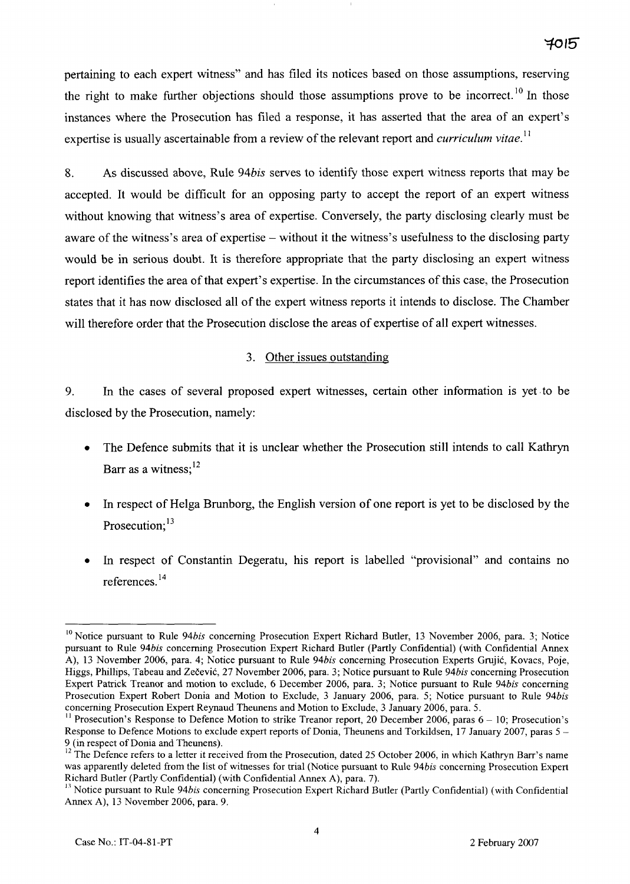pertaining to each expert witness" and has filed its notices based on those assumptions, reserving the right to make further objections should those assumptions prove to be incorrect.<sup>10</sup> In those instances where the Prosecution has filed a response, it has asserted that the area of an expert's expertise is usually ascertainable from a review of the relevant report and *curriculum vitae*.<sup>11</sup>

8. As discussed above, Rule 94*bis* serves to identify those expert witness reports that may be accepted. It would be difficult for an opposing party to accept the report of an expert witness without knowing that witness's area of expertise. Conversely, the party disclosing clearly must be aware of the witness's area of expertise – without it the witness's usefulness to the disclosing party would be in serious doubt. It is therefore appropriate that the party disclosing an expert witness report identifies the area of that expert's expertise. In the circurnstances of this case, the Prosecution states that it has now disclosed al1 of the expert witness reports it intends to disclose. The Chamber will therefore order that the Prosecution disclose the areas of expertise of al1 expert witnesses.

### 3. Other issues outstanding

*9.* In the cases of several proposed expert witnesses, certain other information is yet .to be disclosed by the Prosecution, namely:

- The Defence submits that it is unclear whether the Prosecution still intends to cal1 Kathryn Barr as a witness; $^{12}$
- In respect of Helga Brunborg, the English version of one report is yet to be disclosed by the Prosecution: $13$
- In respect of Constantin Degeratu, his report is labelled "provisional" and contains no references. **l4**

**<sup>10</sup>**Notice pursuant to Rule *94bis* conceming Prosecution Expert Richard Butler, 13 November 2006, para. *3;* Notice pursuant to Rule *94bis* conceming Prosecution Expert Richard Butler (Partly Confidential) (with Confidential Annex A), 13 November 2006, para. *4;* Notice pursuant to Rule *94bis* concerning Prosecution Experts Gmjic, Kovacs, Poje, Higgs, Phillips, Tabeau and Zečević, 27 November 2006, para. 3; Notice pursuant to Rule 94bis concerning Prosecution Expert Patrick Treanor and motion to exclude, *6* December 2006, para. *3;* Notice pursuant to Rule *94bis* concerning Prosecution Expert Robert Donia and Motion to Exclude, 3 January 2006, para. *5;* Notice pursuant to Rule *94bis*  concerning Prosecution Expert Reynaud Theunens and Motion to Exclude, 3 January 2006, para. *5.* 

 $^{11}$  Prosecution's Response to Defence Motion to strike Treanor report, 20 December 2006, paras  $6 - 10$ ; Prosecution's Response to Defence Motions to exclude expert reports of Donia, Theunens and Torkildsen, 17 January 2007, paras 5 -9 (in respect of Donia and Theunens).

 $^{12}$  The Defence refers to a letter it received from the Prosecution, dated 25 October 2006, in which Kathryn Barr's name was apparently deleted from the list of witnesses for trial (Notice pursuant to Rule *94bis* concerning Prosecution Expert Richard Butler (Partly Confidential) (with Confidential Annex A), para. 7).

**<sup>13</sup>**Notice pursuant to Rule *94bis* concerning Prosecution Expert Richard Butler (Partly Confidential) (with Confidential Annex A), *13* November 2006, para. *9.*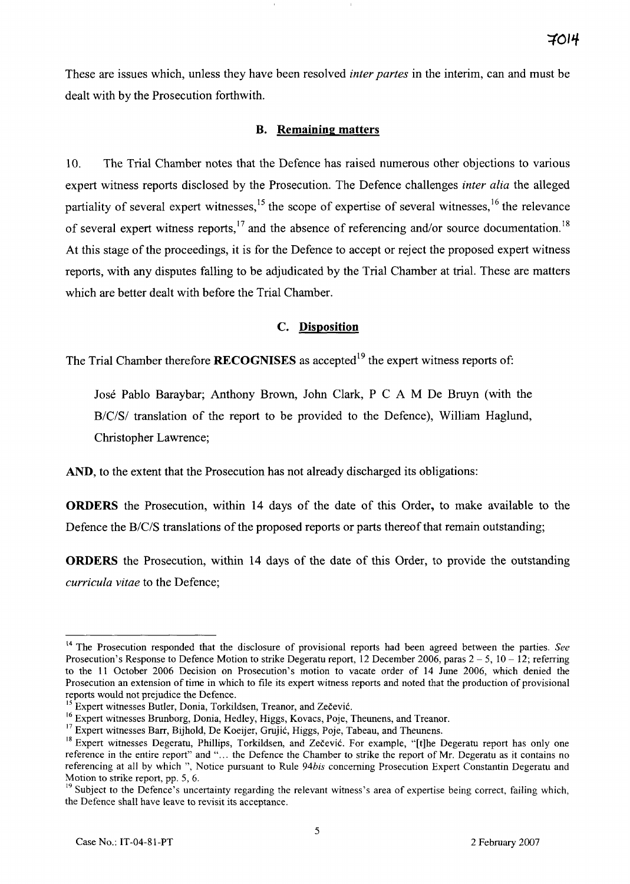These are issues which, unless they have been resolved *inter partes* in the interim, can and must be dealt with by the Prosecution forthwith.

# B. Remaining matters

10. The Trial Chamber notes that the Defence has raised numerous other objections to various expert witness reports disclosed by the Prosecution. The Defence challenges *inter alia* the alleged partiality of several expert witnesses,<sup>15</sup> the scope of expertise of several witnesses,<sup>16</sup> the relevance of several expert witness reports,  $17$  and the absence of referencing and/or source documentation.<sup>18</sup> At this stage of the proceedings, it is for the Defence to accept or reject the proposed expert witness reports, with any disputes falling to be adjudicated by the Trial Chamber at trial. These are matters which are better dealt with before the Trial Chamber.

# C. Disposition

The Trial Chamber therefore **RECOGNISES** as accepted<sup>19</sup> the expert witness reports of:

José Pablo Baraybar; Anthony Brown, John Clark, P C A M De Bruyn (with the B/C/S/ translation of the report to be provided to the Defence), William Haglund, Christopher Lawrence;

AND, to the extent that the Prosecution has not already discharged its obligations:

ORDERS the Prosecution, within 14 days of the date of this Order, to make available to the Defence the B/C/S translations of the proposed reports or parts thereof that remain outstanding;

ORDERS the Prosecution, within 14 days of the date of this Order, to provide the outstanding *curricula vitae* to the Defence;

**<sup>14</sup>**The Prosecution responded that the disclosure of provisional reports had been agreed between the parties. *See*  Prosecution's Response to Defence Motion to strike Degeratu report, 12 December 2006, paras 2 - *5,* <sup>10</sup>- 12; referring to the 11 October 2006 Decision on Prosecution's motion to vacate order of 14 June 2006, which denied the Prosecution an extension of time in which to file its expert witness reports and noted that the production of provisional reports would not prejudice the Defence.<br><sup>15</sup> Expert witnesses Butler, Donia, Torkildsen, Treanor, and Zečević.

<sup>&</sup>lt;sup>16</sup> Expert witnesses Brunborg, Donia, Hedley, Higgs, Kovacs, Poje, Theunens, and Treanor.<br><sup>17</sup> Expert witnesses Barr, Bijhold, De Koeijer, Grujić, Higgs, Poje, Tabeau, and Theunens.

<sup>&</sup>lt;sup>18</sup> Expert witnesses Degeratu, Phillips, Torkildsen, and Zečević. For example, "[t]he Degeratu report has only one reference in the entire report" and "... the Defence the Chamber to strike the report of Mr. Degeratu as it contains no referencing at al1 by which ", Notice pursuant to Rule 94bis conceming Prosecution Expert Constantin Degeratu and Motion to strike report, pp. 5, 6.<br><sup>19</sup> Subject to the Defence's uncertainty regarding the relevant witness's area of expertise being correct, failing which,

the Defence shall have leave to revisit its acceptance.